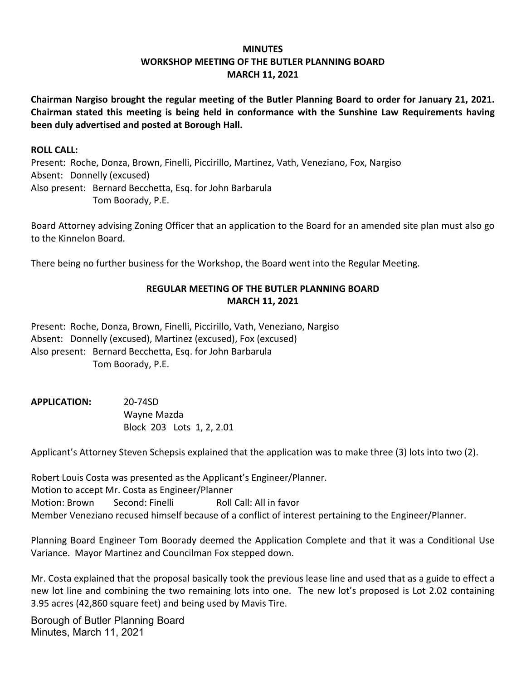## **MINUTES WORKSHOP MEETING OF THE BUTLER PLANNING BOARD MARCH 11, 2021**

**Chairman Nargiso brought the regular meeting of the Butler Planning Board to order for January 21, 2021. Chairman stated this meeting is being held in conformance with the Sunshine Law Requirements having been duly advertised and posted at Borough Hall.** 

## **ROLL CALL:**

Present: Roche, Donza, Brown, Finelli, Piccirillo, Martinez, Vath, Veneziano, Fox, Nargiso Absent: Donnelly (excused) Also present: Bernard Becchetta, Esq. for John Barbarula Tom Boorady, P.E.

Board Attorney advising Zoning Officer that an application to the Board for an amended site plan must also go to the Kinnelon Board.

There being no further business for the Workshop, the Board went into the Regular Meeting.

## **REGULAR MEETING OF THE BUTLER PLANNING BOARD MARCH 11, 2021**

Present: Roche, Donza, Brown, Finelli, Piccirillo, Vath, Veneziano, Nargiso Absent: Donnelly (excused), Martinez (excused), Fox (excused) Also present: Bernard Becchetta, Esq. for John Barbarula Tom Boorady, P.E.

**APPLICATION:**  20‐74SD Wayne Mazda Block 203 Lots 1, 2, 2.01

Applicant's Attorney Steven Schepsis explained that the application was to make three (3) lots into two (2).

Robert Louis Costa was presented as the Applicant's Engineer/Planner. Motion to accept Mr. Costa as Engineer/Planner Motion: Brown Second: Finelli Reall Call: All in favor Member Veneziano recused himself because of a conflict of interest pertaining to the Engineer/Planner.

Planning Board Engineer Tom Boorady deemed the Application Complete and that it was a Conditional Use Variance. Mayor Martinez and Councilman Fox stepped down.

Mr. Costa explained that the proposal basically took the previous lease line and used that as a guide to effect a new lot line and combining the two remaining lots into one. The new lot's proposed is Lot 2.02 containing 3.95 acres (42,860 square feet) and being used by Mavis Tire.

Borough of Butler Planning Board Minutes, March 11, 2021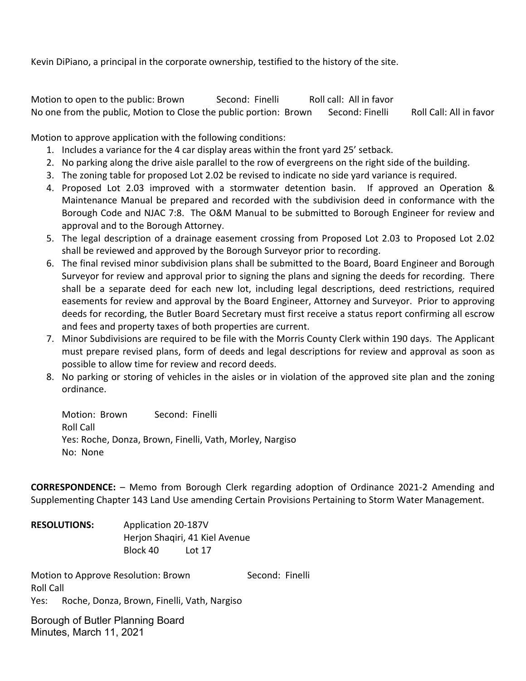Kevin DiPiano, a principal in the corporate ownership, testified to the history of the site.

Motion to open to the public: Brown Second: Finelli Roll call: All in favor No one from the public, Motion to Close the public portion: Brown Second: Finelli Roll Call: All in favor

Motion to approve application with the following conditions:

- 1. Includes a variance for the 4 car display areas within the front yard 25' setback.
- 2. No parking along the drive aisle parallel to the row of evergreens on the right side of the building.
- 3. The zoning table for proposed Lot 2.02 be revised to indicate no side yard variance is required.
- 4. Proposed Lot 2.03 improved with a stormwater detention basin. If approved an Operation & Maintenance Manual be prepared and recorded with the subdivision deed in conformance with the Borough Code and NJAC 7:8. The O&M Manual to be submitted to Borough Engineer for review and approval and to the Borough Attorney.
- 5. The legal description of a drainage easement crossing from Proposed Lot 2.03 to Proposed Lot 2.02 shall be reviewed and approved by the Borough Surveyor prior to recording.
- 6. The final revised minor subdivision plans shall be submitted to the Board, Board Engineer and Borough Surveyor for review and approval prior to signing the plans and signing the deeds for recording. There shall be a separate deed for each new lot, including legal descriptions, deed restrictions, required easements for review and approval by the Board Engineer, Attorney and Surveyor. Prior to approving deeds for recording, the Butler Board Secretary must first receive a status report confirming all escrow and fees and property taxes of both properties are current.
- 7. Minor Subdivisions are required to be file with the Morris County Clerk within 190 days. The Applicant must prepare revised plans, form of deeds and legal descriptions for review and approval as soon as possible to allow time for review and record deeds.
- 8. No parking or storing of vehicles in the aisles or in violation of the approved site plan and the zoning ordinance.

Motion: Brown Second: Finelli Roll Call Yes: Roche, Donza, Brown, Finelli, Vath, Morley, Nargiso No: None

**CORRESPONDENCE:** – Memo from Borough Clerk regarding adoption of Ordinance 2021‐2 Amending and Supplementing Chapter 143 Land Use amending Certain Provisions Pertaining to Storm Water Management.

**RESOLUTIONS:**  Application 20‐187V Herjon Shaqiri, 41 Kiel Avenue Block 40 Lot 17

Motion to Approve Resolution: Brown Second: Finelli Roll Call Yes: Roche, Donza, Brown, Finelli, Vath, Nargiso

Borough of Butler Planning Board Minutes, March 11, 2021